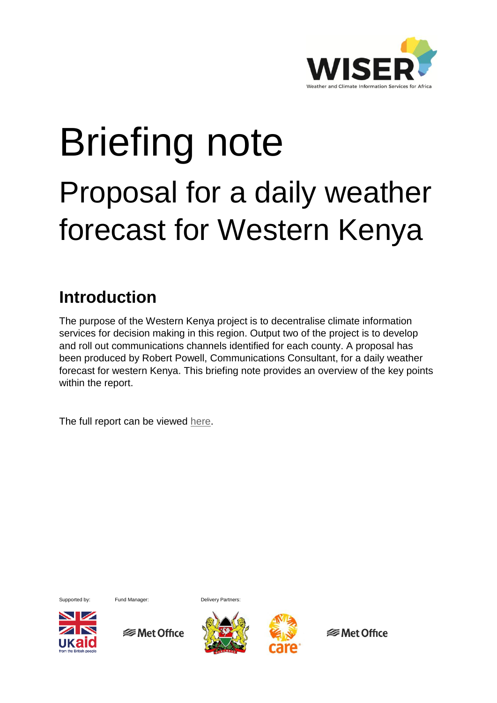

# Briefing note Proposal for a daily weather forecast for Western Kenya

## **Introduction**

The purpose of the Western Kenya project is to decentralise climate information services for decision making in this region. Output two of the project is to develop and roll out communications channels identified for each county. A proposal has been produced by Robert Powell, Communications Consultant, for a daily weather forecast for western Kenya. This briefing note provides an overview of the key points within the report.

The full report can be viewed [here.](http://www.metoffice.gov.uk/binaries/content/assets/mohippo/pdf/international/wiser/dailyregionalforecast_westernkenya.pdf)





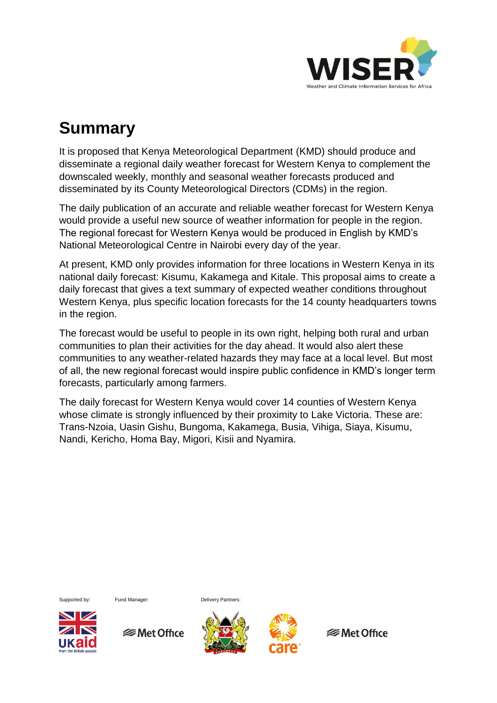

### **Summary**

It is proposed that Kenya Meteorological Department (KMD) should produce and disseminate a regional daily weather forecast for Western Kenya to complement the downscaled weekly, monthly and seasonal weather forecasts produced and disseminated by its County Meteorological Directors (CDMs) in the region.

The daily publication of an accurate and reliable weather forecast for Western Kenya would provide a useful new source of weather information for people in the region. The regional forecast for Western Kenya would be produced in English by KMD's National Meteorological Centre in Nairobi every day of the year.

At present, KMD only provides information for three locations in Western Kenya in its national daily forecast: Kisumu, Kakamega and Kitale. This proposal aims to create a daily forecast that gives a text summary of expected weather conditions throughout Western Kenya, plus specific location forecasts for the 14 county headquarters towns in the region.

The forecast would be useful to people in its own right, helping both rural and urban communities to plan their activities for the day ahead. It would also alert these communities to any weather-related hazards they may face at a local level. But most of all, the new regional forecast would inspire public confidence in KMD's longer term forecasts, particularly among farmers.

The daily forecast for Western Kenya would cover 14 counties of Western Kenya whose climate is strongly influenced by their proximity to Lake Victoria. These are: Trans-Nzoia, Uasin Gishu, Bungoma, Kakamega, Busia, Vihiga, Siaya, Kisumu, Nandi, Kericho, Homa Bay, Migori, Kisii and Nyamira.







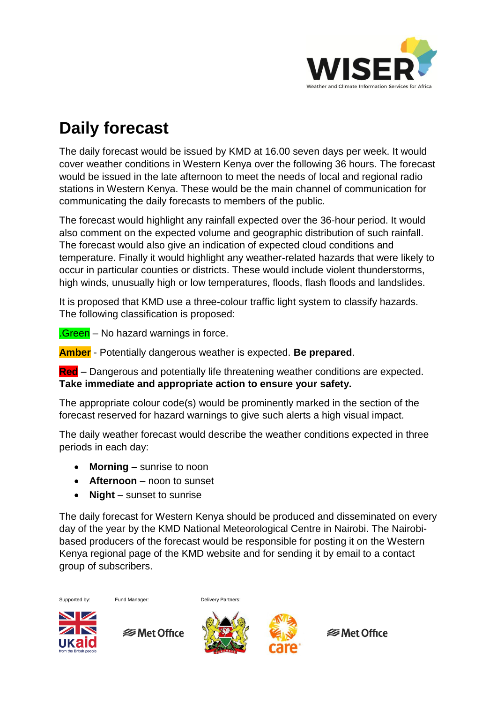

# **Daily forecast**

The daily forecast would be issued by KMD at 16.00 seven days per week. It would cover weather conditions in Western Kenya over the following 36 hours. The forecast would be issued in the late afternoon to meet the needs of local and regional radio stations in Western Kenya. These would be the main channel of communication for communicating the daily forecasts to members of the public.

The forecast would highlight any rainfall expected over the 36-hour period. It would also comment on the expected volume and geographic distribution of such rainfall. The forecast would also give an indication of expected cloud conditions and temperature. Finally it would highlight any weather-related hazards that were likely to occur in particular counties or districts. These would include violent thunderstorms, high winds, unusually high or low temperatures, floods, flash floods and landslides.

It is proposed that KMD use a three-colour traffic light system to classify hazards. The following classification is proposed:

**.Green** – No hazard warnings in force.

**Amber** - Potentially dangerous weather is expected. **Be prepared**.

**Red** – Dangerous and potentially life threatening weather conditions are expected. **Take immediate and appropriate action to ensure your safety.**

The appropriate colour code(s) would be prominently marked in the section of the forecast reserved for hazard warnings to give such alerts a high visual impact.

The daily weather forecast would describe the weather conditions expected in three periods in each day:

- **Morning –** sunrise to noon
- **Afternoon**  noon to sunset
- **Night**  sunset to sunrise

The daily forecast for Western Kenya should be produced and disseminated on every day of the year by the KMD National Meteorological Centre in Nairobi. The Nairobibased producers of the forecast would be responsible for posting it on the Western Kenya regional page of the KMD website and for sending it by email to a contact group of subscribers.

Supported by: Fund Manager: Delivery Partners:

 $\blacktriangleright$   $\blacktriangleright$ 

**<del></del>** Met Office



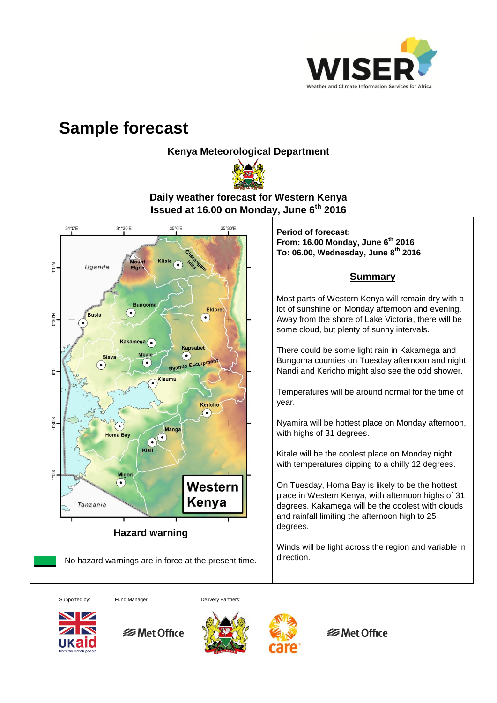

#### **Sample forecast**

**Kenya Meteorological Department** 



**Daily weather forecast for Western Kenya Issued at 16.00 on Monday, June 6th 2016**



Supported by: Fund Manager: Delivery Partners:









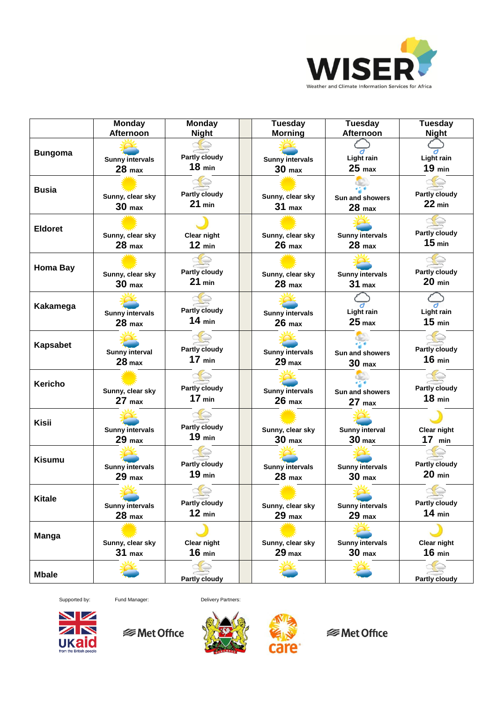

|                 | Monday                                      | <b>Monday</b>                    | <b>Tuesday</b>                              | <b>Tuesday</b>                              | <b>Tuesday</b>                            |
|-----------------|---------------------------------------------|----------------------------------|---------------------------------------------|---------------------------------------------|-------------------------------------------|
|                 | Afternoon                                   | <b>Night</b>                     | <b>Morning</b>                              | Afternoon                                   | <b>Night</b>                              |
| <b>Bungoma</b>  | <b>Sunny intervals</b><br>28 <sub>max</sub> | <b>Partly cloudy</b><br>$18$ min | <b>Sunny intervals</b><br>30 <sub>max</sub> | <b>Light rain</b><br>$25$ max               | Light rain<br>$19$ min                    |
| <b>Busia</b>    | Sunny, clear sky<br>30 <sub>max</sub>       | <b>Partly cloudy</b><br>$21$ min | Sunny, clear sky<br>$31$ max                | Sun and showers<br>$28$ max                 | <b>Partly cloudy</b><br>$22$ min          |
| <b>Eldoret</b>  | Sunny, clear sky<br>$28$ max                | <b>Clear night</b><br>$12$ min   | Sunny, clear sky<br>$26$ max                | <b>Sunny intervals</b><br>$28$ max          | <b>Partly cloudy</b><br>15 <sub>min</sub> |
| <b>Homa Bay</b> | Sunny, clear sky<br>30 <sub>max</sub>       | <b>Partly cloudy</b><br>$21$ min | Sunny, clear sky<br>$28$ max                | <b>Sunny intervals</b><br>31 <sub>max</sub> | <b>Partly cloudy</b><br>$20$ min          |
| Kakamega        | <b>Sunny intervals</b><br>$28$ max          | <b>Partly cloudy</b><br>$14$ min | <b>Sunny intervals</b><br>$26$ max          | Light rain<br>25 <sub>max</sub>             | Light rain<br>$15$ min                    |
| <b>Kapsabet</b> | <b>Sunny interval</b><br>28 <sub>max</sub>  | <b>Partly cloudy</b><br>$17$ min | <b>Sunny intervals</b><br>29 <sub>max</sub> | Sun and showers<br>30 <sub>max</sub>        | <b>Partly cloudy</b><br>$16$ min          |
| <b>Kericho</b>  | Sunny, clear sky<br>$27$ max                | <b>Partly cloudy</b><br>$17$ min | <b>Sunny intervals</b><br>$26$ max          | Sun and showers<br>$27$ max                 | <b>Partly cloudy</b><br>$18$ min          |
| <b>Kisii</b>    | <b>Sunny intervals</b><br>29 <sub>max</sub> | <b>Partly cloudy</b><br>$19$ min | Sunny, clear sky<br>30 <sub>max</sub>       | <b>Sunny interval</b><br>30 <sub>max</sub>  | Clear night<br>$17$ min                   |
| <b>Kisumu</b>   | <b>Sunny intervals</b><br>$29$ max          | <b>Partly cloudy</b><br>$19$ min | <b>Sunny intervals</b><br>$28$ max          | <b>Sunny intervals</b><br>30 <sub>max</sub> | <b>Partly cloudy</b><br>$20$ min          |
| <b>Kitale</b>   | <b>Sunny intervals</b><br>$28$ max          | <b>Partly cloudy</b><br>$12$ min | Sunny, clear sky<br>$29$ max                | <b>Sunny intervals</b><br>$29$ max          | <b>Partly cloudy</b><br>$14$ min          |
| <b>Manga</b>    | Sunny, clear sky<br>$31$ max                | <b>Clear night</b><br>$16$ min   | Sunny, clear sky<br>29 <sub>max</sub>       | <b>Sunny intervals</b><br>30 <sub>max</sub> | Clear night<br>$16$ min                   |
| <b>Mbale</b>    |                                             | <b>Partly cloudy</b>             |                                             |                                             | <b>Partly cloudy</b>                      |

Supported by: Fund Manager: Delivery Partners:







**<sup>■</sup>Met Office**